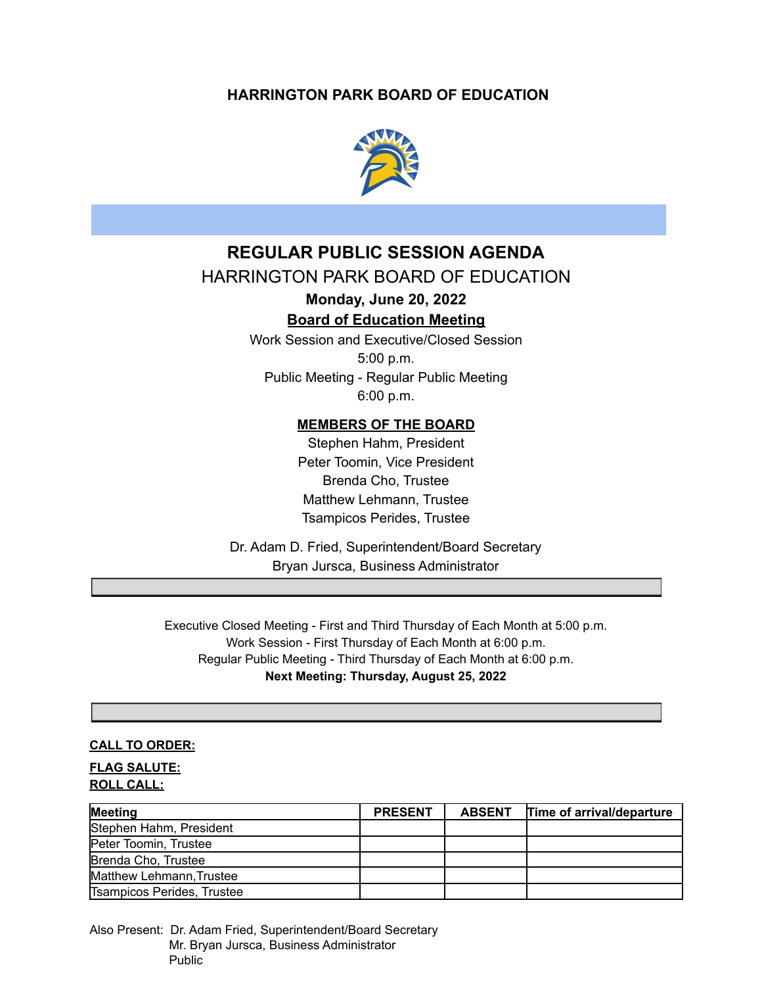# **HARRINGTON PARK BOARD OF EDUCATION**



# **REGULAR PUBLIC SESSION AGENDA**

# HARRINGTON PARK BOARD OF EDUCATION

**Monday, June 20, 2022**

# **Board of Education Meeting**

Work Session and Executive/Closed Session 5:00 p.m. Public Meeting - Regular Public Meeting 6:00 p.m.

## **MEMBERS OF THE BOARD**

Stephen Hahm, President Peter Toomin, Vice President Brenda Cho, Trustee Matthew Lehmann, Trustee Tsampicos Perides, Trustee

Dr. Adam D. Fried, Superintendent/Board Secretary Bryan Jursca, Business Administrator

Executive Closed Meeting - First and Third Thursday of Each Month at 5:00 p.m. Work Session - First Thursday of Each Month at 6:00 p.m. Regular Public Meeting - Third Thursday of Each Month at 6:00 p.m. **Next Meeting: Thursday, August 25, 2022**

## **CALL TO ORDER:**

**FLAG SALUTE: ROLL CALL:**

| Meeting                    | <b>PRESENT</b> | <b>ABSENT</b> | Time of arrival/departure |
|----------------------------|----------------|---------------|---------------------------|
| Stephen Hahm, President    |                |               |                           |
| Peter Toomin, Trustee      |                |               |                           |
| Brenda Cho, Trustee        |                |               |                           |
| Matthew Lehmann, Trustee   |                |               |                           |
| Tsampicos Perides, Trustee |                |               |                           |

Also Present: Dr. Adam Fried, Superintendent/Board Secretary Mr. Bryan Jursca, Business Administrator Public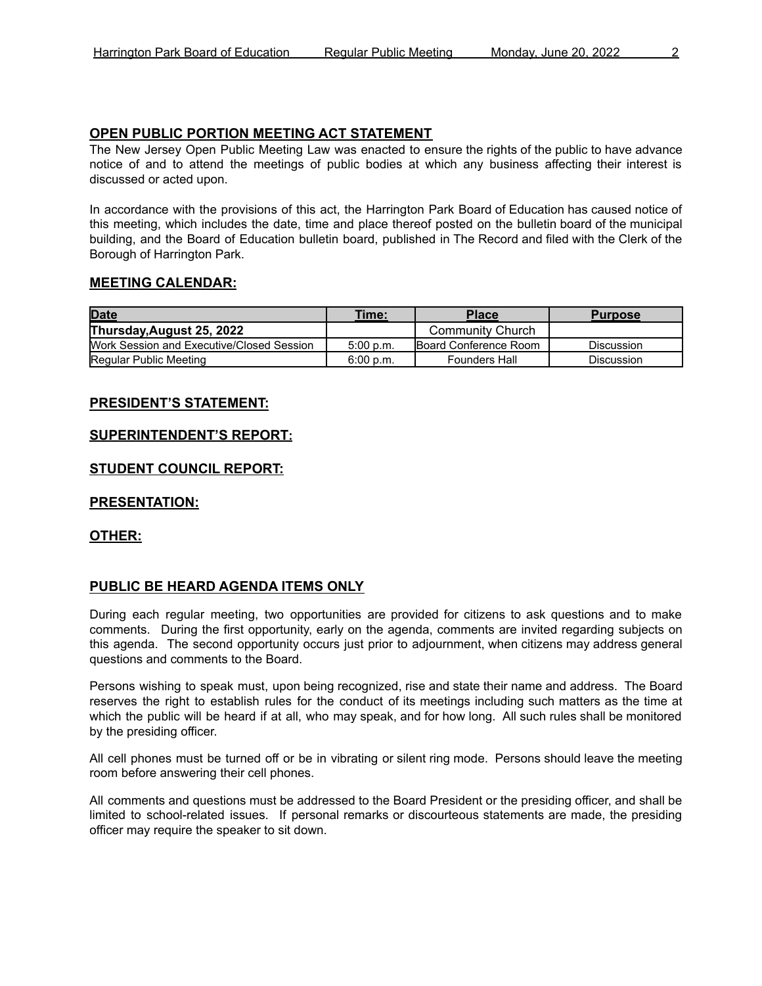## **OPEN PUBLIC PORTION MEETING ACT STATEMENT**

The New Jersey Open Public Meeting Law was enacted to ensure the rights of the public to have advance notice of and to attend the meetings of public bodies at which any business affecting their interest is discussed or acted upon.

In accordance with the provisions of this act, the Harrington Park Board of Education has caused notice of this meeting, which includes the date, time and place thereof posted on the bulletin board of the municipal building, and the Board of Education bulletin board, published in The Record and filed with the Clerk of the Borough of Harrington Park.

## **MEETING CALENDAR:**

| <b>Date</b>                               | Time:     | <b>Place</b>                  | <b>Purpose</b>    |
|-------------------------------------------|-----------|-------------------------------|-------------------|
| Thursday, August 25, 2022                 |           | <b>Community Church</b>       |                   |
| Work Session and Executive/Closed Session | 5:00 p.m. | <b>IBoard Conference Room</b> | Discussion        |
| Regular Public Meeting                    | 6:00 p.m. | <b>Founders Hall</b>          | <b>Discussion</b> |

## **PRESIDENT'S STATEMENT:**

## **SUPERINTENDENT'S REPORT:**

## **STUDENT COUNCIL REPORT:**

## **PRESENTATION:**

## **OTHER:**

## **PUBLIC BE HEARD AGENDA ITEMS ONLY**

During each regular meeting, two opportunities are provided for citizens to ask questions and to make comments. During the first opportunity, early on the agenda, comments are invited regarding subjects on this agenda. The second opportunity occurs just prior to adjournment, when citizens may address general questions and comments to the Board.

Persons wishing to speak must, upon being recognized, rise and state their name and address. The Board reserves the right to establish rules for the conduct of its meetings including such matters as the time at which the public will be heard if at all, who may speak, and for how long. All such rules shall be monitored by the presiding officer.

All cell phones must be turned off or be in vibrating or silent ring mode. Persons should leave the meeting room before answering their cell phones.

All comments and questions must be addressed to the Board President or the presiding officer, and shall be limited to school-related issues. If personal remarks or discourteous statements are made, the presiding officer may require the speaker to sit down.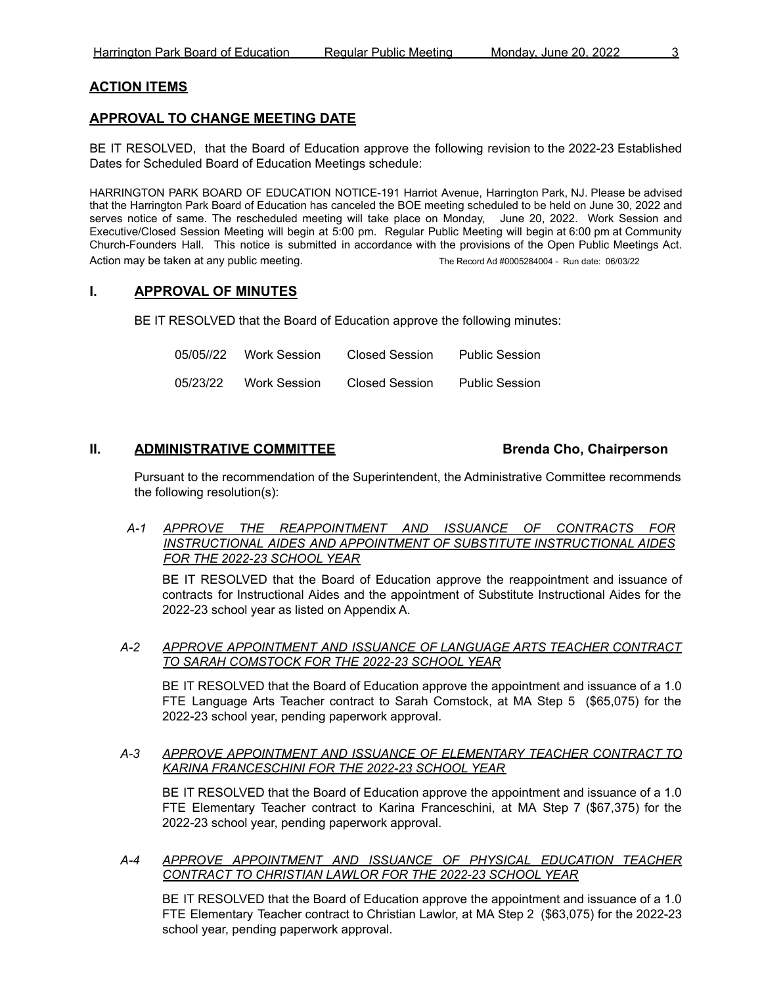## **ACTION ITEMS**

## **APPROVAL TO CHANGE MEETING DATE**

BE IT RESOLVED, that the Board of Education approve the following revision to the 2022-23 Established Dates for Scheduled Board of Education Meetings schedule:

HARRINGTON PARK BOARD OF EDUCATION NOTICE-191 Harriot Avenue, Harrington Park, NJ. Please be advised that the Harrington Park Board of Education has canceled the BOE meeting scheduled to be held on June 30, 2022 and serves notice of same. The rescheduled meeting will take place on Monday, June 20, 2022. Work Session and Executive/Closed Session Meeting will begin at 5:00 pm. Regular Public Meeting will begin at 6:00 pm at Community Church-Founders Hall. This notice is submitted in accordance with the provisions of the Open Public Meetings Act. Action may be taken at any public meeting. The Record Ad #0005284004 - Run date: 06/03/22

## **I. APPROVAL OF MINUTES**

BE IT RESOLVED that the Board of Education approve the following minutes:

| 05/05//22 | Work Session | Closed Session | <b>Public Session</b> |
|-----------|--------------|----------------|-----------------------|
| 05/23/22  | Work Session | Closed Session | <b>Public Session</b> |

## **II. ADMINISTRATIVE COMMITTEE Brenda Cho, Chairperson**

Pursuant to the recommendation of the Superintendent, the Administrative Committee recommends the following resolution(s):

*A-1 APPROVE THE REAPPOINTMENT AND ISSUANCE OF CONTRACTS FOR INSTRUCTIONAL AIDES AND APPOINTMENT OF SUBSTITUTE INSTRUCTIONAL AIDES FOR THE 2022-23 SCHOOL YEAR*

BE IT RESOLVED that the Board of Education approve the reappointment and issuance of contracts for Instructional Aides and the appointment of Substitute Instructional Aides for the 2022-23 school year as listed on Appendix A.

*A-2 APPROVE APPOINTMENT AND ISSUANCE OF LANGUAGE ARTS TEACHER CONTRACT TO SARAH COMSTOCK FOR THE 2022-23 SCHOOL YEAR*

BE IT RESOLVED that the Board of Education approve the appointment and issuance of a 1.0 FTE Language Arts Teacher contract to Sarah Comstock, at MA Step 5 (\$65,075) for the 2022-23 school year, pending paperwork approval.

*A-3 APPROVE APPOINTMENT AND ISSUANCE OF ELEMENTARY TEACHER CONTRACT TO KARINA FRANCESCHINI FOR THE 2022-23 SCHOOL YEAR*

BE IT RESOLVED that the Board of Education approve the appointment and issuance of a 1.0 FTE Elementary Teacher contract to Karina Franceschini, at MA Step 7 (\$67,375) for the 2022-23 school year, pending paperwork approval.

## *A-4 APPROVE APPOINTMENT AND ISSUANCE OF PHYSICAL EDUCATION TEACHER CONTRACT TO CHRISTIAN LAWLOR FOR THE 2022-23 SCHOOL YEAR*

BE IT RESOLVED that the Board of Education approve the appointment and issuance of a 1.0 FTE Elementary Teacher contract to Christian Lawlor, at MA Step 2 (\$63,075) for the 2022-23 school year, pending paperwork approval.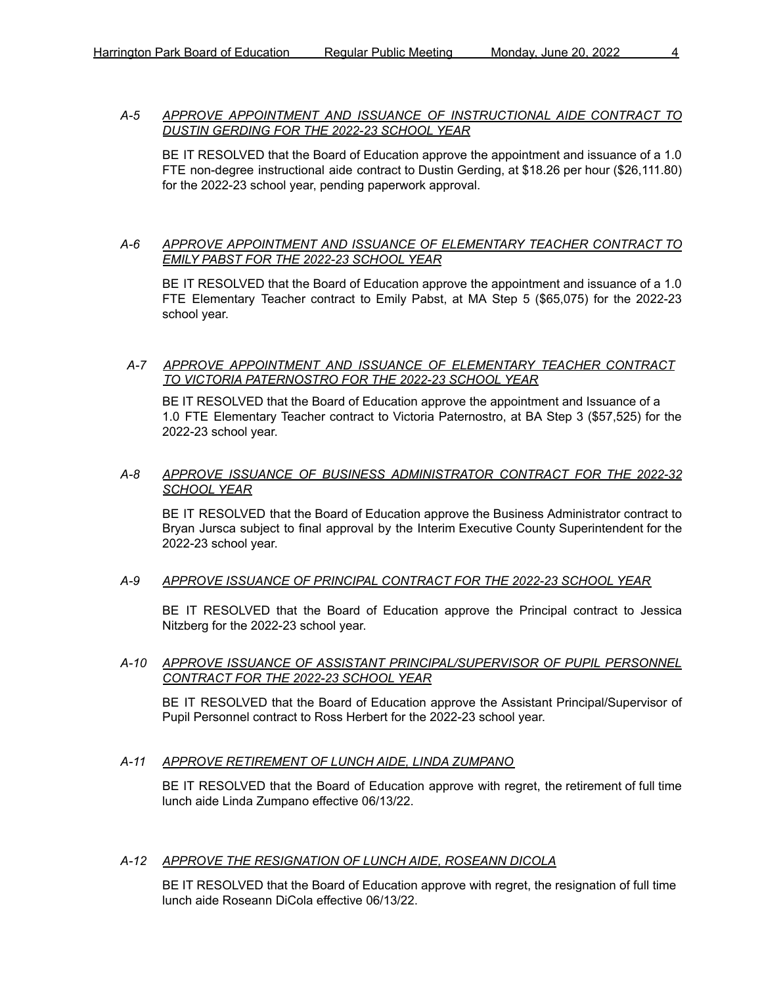## *A-5 APPROVE APPOINTMENT AND ISSUANCE OF INSTRUCTIONAL AIDE CONTRACT TO DUSTIN GERDING FOR THE 2022-23 SCHOOL YEAR*

BE IT RESOLVED that the Board of Education approve the appointment and issuance of a 1.0 FTE non-degree instructional aide contract to Dustin Gerding, at \$18.26 per hour (\$26,111.80) for the 2022-23 school year, pending paperwork approval.

## *A-6 APPROVE APPOINTMENT AND ISSUANCE OF ELEMENTARY TEACHER CONTRACT TO EMILY PABST FOR THE 2022-23 SCHOOL YEAR*

BE IT RESOLVED that the Board of Education approve the appointment and issuance of a 1.0 FTE Elementary Teacher contract to Emily Pabst, at MA Step 5 (\$65,075) for the 2022-23 school year.

## *A-7 APPROVE APPOINTMENT AND ISSUANCE OF ELEMENTARY TEACHER CONTRACT TO VICTORIA PATERNOSTRO FOR THE 2022-23 SCHOOL YEAR*

BE IT RESOLVED that the Board of Education approve the appointment and Issuance of a 1.0 FTE Elementary Teacher contract to Victoria Paternostro, at BA Step 3 (\$57,525) for the 2022-23 school year.

## *A-8 APPROVE ISSUANCE OF BUSINESS ADMINISTRATOR CONTRACT FOR THE 2022-32 SCHOOL YEAR*

BE IT RESOLVED that the Board of Education approve the Business Administrator contract to Bryan Jursca subject to final approval by the Interim Executive County Superintendent for the 2022-23 school year.

## *A-9 APPROVE ISSUANCE OF PRINCIPAL CONTRACT FOR THE 2022-23 SCHOOL YEAR*

BE IT RESOLVED that the Board of Education approve the Principal contract to Jessica Nitzberg for the 2022-23 school year.

## *A-10 APPROVE ISSUANCE OF ASSISTANT PRINCIPAL/SUPERVISOR OF PUPIL PERSONNEL CONTRACT FOR THE 2022-23 SCHOOL YEAR*

BE IT RESOLVED that the Board of Education approve the Assistant Principal/Supervisor of Pupil Personnel contract to Ross Herbert for the 2022-23 school year.

## *A-11 APPROVE RETIREMENT OF LUNCH AIDE, LINDA ZUMPANO*

BE IT RESOLVED that the Board of Education approve with regret, the retirement of full time lunch aide Linda Zumpano effective 06/13/22.

#### *A-12 APPROVE THE RESIGNATION OF LUNCH AIDE, ROSEANN DICOLA*

BE IT RESOLVED that the Board of Education approve with regret, the resignation of full time lunch aide Roseann DiCola effective 06/13/22.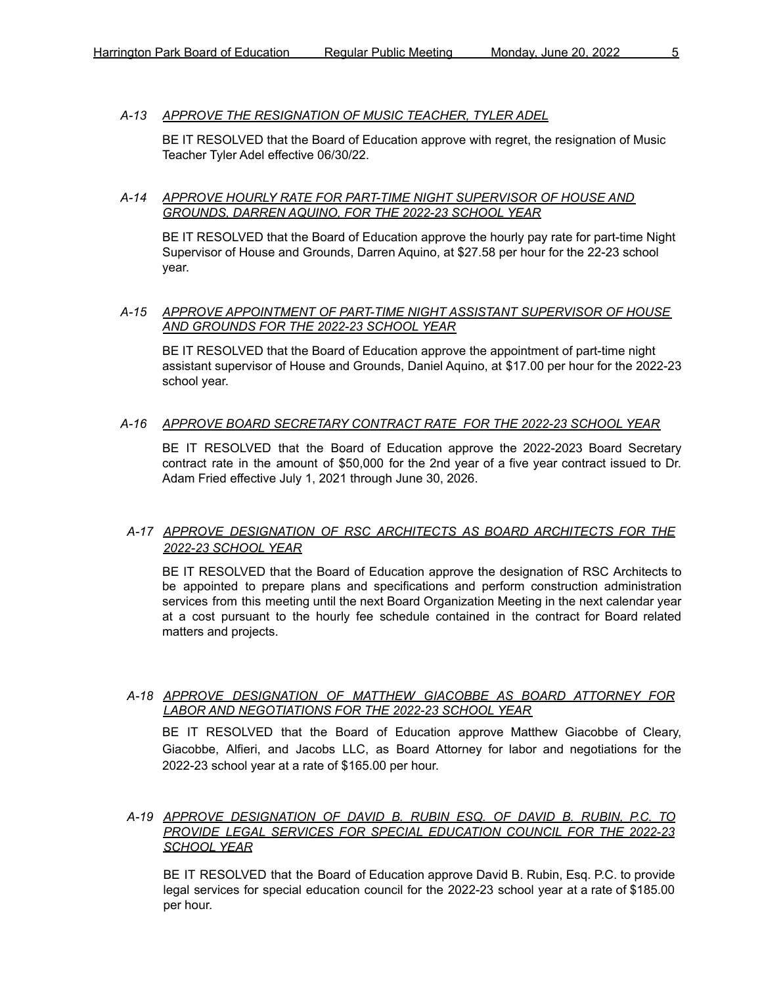## *A-13 APPROVE THE RESIGNATION OF MUSIC TEACHER, TYLER ADEL*

BE IT RESOLVED that the Board of Education approve with regret, the resignation of Music Teacher Tyler Adel effective 06/30/22.

### *A-14 APPROVE HOURLY RATE FOR PART-TIME NIGHT SUPERVISOR OF HOUSE AND GROUNDS, DARREN AQUINO, FOR THE 2022-23 SCHOOL YEAR*

BE IT RESOLVED that the Board of Education approve the hourly pay rate for part-time Night Supervisor of House and Grounds, Darren Aquino, at \$27.58 per hour for the 22-23 school year.

#### *A-15 APPROVE APPOINTMENT OF PART-TIME NIGHT ASSISTANT SUPERVISOR OF HOUSE AND GROUNDS FOR THE 2022-23 SCHOOL YEAR*

BE IT RESOLVED that the Board of Education approve the appointment of part-time night assistant supervisor of House and Grounds, Daniel Aquino, at \$17.00 per hour for the 2022-23 school year.

#### *A-16 APPROVE BOARD SECRETARY CONTRACT RATE FOR THE 2022-23 SCHOOL YEAR*

BE IT RESOLVED that the Board of Education approve the 2022-2023 Board Secretary contract rate in the amount of \$50,000 for the 2nd year of a five year contract issued to Dr. Adam Fried effective July 1, 2021 through June 30, 2026.

## *A-17 APPROVE DESIGNATION OF RSC ARCHITECTS AS BOARD ARCHITECTS FOR THE 2022-23 SCHOOL YEAR*

BE IT RESOLVED that the Board of Education approve the designation of RSC Architects to be appointed to prepare plans and specifications and perform construction administration services from this meeting until the next Board Organization Meeting in the next calendar year at a cost pursuant to the hourly fee schedule contained in the contract for Board related matters and projects.

## *A-18 APPROVE DESIGNATION OF MATTHEW GIACOBBE AS BOARD ATTORNEY FOR LABOR AND NEGOTIATIONS FOR THE 2022-23 SCHOOL YEAR*

BE IT RESOLVED that the Board of Education approve Matthew Giacobbe of Cleary, Giacobbe, Alfieri, and Jacobs LLC, as Board Attorney for labor and negotiations for the 2022-23 school year at a rate of \$165.00 per hour.

#### *A-19 APPROVE DESIGNATION OF DAVID B. RUBIN ESQ. OF DAVID B. RUBIN, P.C. TO PROVIDE LEGAL SERVICES FOR SPECIAL EDUCATION COUNCIL FOR THE 2022-23 SCHOOL YEAR*

BE IT RESOLVED that the Board of Education approve David B. Rubin, Esq. P.C. to provide legal services for special education council for the 2022-23 school year at a rate of \$185.00 per hour.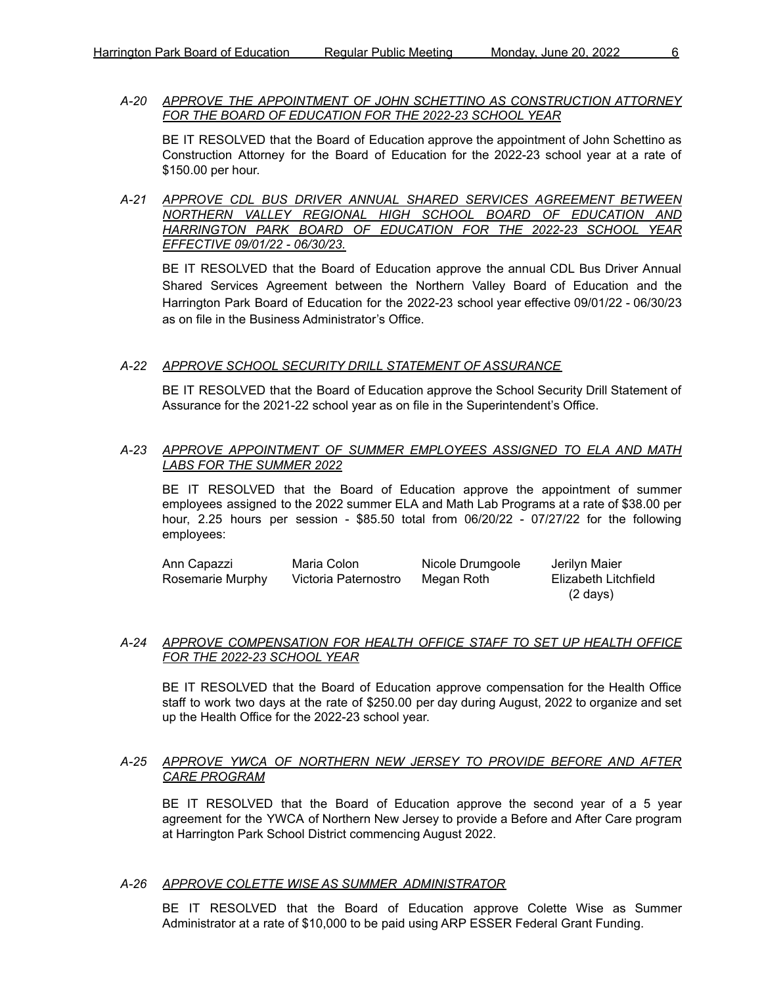*A-20 APPROVE THE APPOINTMENT OF JOHN SCHETTINO AS CONSTRUCTION ATTORNEY FOR THE BOARD OF EDUCATION FOR THE 2022-23 SCHOOL YEAR*

BE IT RESOLVED that the Board of Education approve the appointment of John Schettino as Construction Attorney for the Board of Education for the 2022-23 school year at a rate of \$150.00 per hour.

*A-21 APPROVE CDL BUS DRIVER ANNUAL SHARED SERVICES AGREEMENT BETWEEN NORTHERN VALLEY REGIONAL HIGH SCHOOL BOARD OF EDUCATION AND HARRINGTON PARK BOARD OF EDUCATION FOR THE 2022-23 SCHOOL YEAR EFFECTIVE 09/01/22 - 06/30/23.*

BE IT RESOLVED that the Board of Education approve the annual CDL Bus Driver Annual Shared Services Agreement between the Northern Valley Board of Education and the Harrington Park Board of Education for the 2022-23 school year effective 09/01/22 - 06/30/23 as on file in the Business Administrator's Office.

## *A-22 APPROVE SCHOOL SECURITY DRILL STATEMENT OF ASSURANCE*

BE IT RESOLVED that the Board of Education approve the School Security Drill Statement of Assurance for the 2021-22 school year as on file in the Superintendent's Office.

## *A-23 APPROVE APPOINTMENT OF SUMMER EMPLOYEES ASSIGNED TO ELA AND MATH LABS FOR THE SUMMER 2022*

BE IT RESOLVED that the Board of Education approve the appointment of summer employees assigned to the 2022 summer ELA and Math Lab Programs at a rate of \$38.00 per hour, 2.25 hours per session - \$85.50 total from 06/20/22 - 07/27/22 for the following employees:

| Ann Capazzi      | Maria Colon          | Nicole Drumgoole | Jerilyn Maier        |
|------------------|----------------------|------------------|----------------------|
| Rosemarie Murphy | Victoria Paternostro | Megan Roth       | Elizabeth Litchfield |
|                  |                      |                  | $(2 \text{ days})$   |

## *A-24 APPROVE COMPENSATION FOR HEALTH OFFICE STAFF TO SET UP HEALTH OFFICE FOR THE 2022-23 SCHOOL YEAR*

BE IT RESOLVED that the Board of Education approve compensation for the Health Office staff to work two days at the rate of \$250.00 per day during August, 2022 to organize and set up the Health Office for the 2022-23 school year.

#### *A-25 APPROVE YWCA OF NORTHERN NEW JERSEY TO PROVIDE BEFORE AND AFTER CARE PROGRAM*

BE IT RESOLVED that the Board of Education approve the second year of a 5 year agreement for the YWCA of Northern New Jersey to provide a Before and After Care program at Harrington Park School District commencing August 2022.

#### *A-26 APPROVE COLETTE WISE AS SUMMER ADMINISTRATOR*

BE IT RESOLVED that the Board of Education approve Colette Wise as Summer Administrator at a rate of \$10,000 to be paid using ARP ESSER Federal Grant Funding.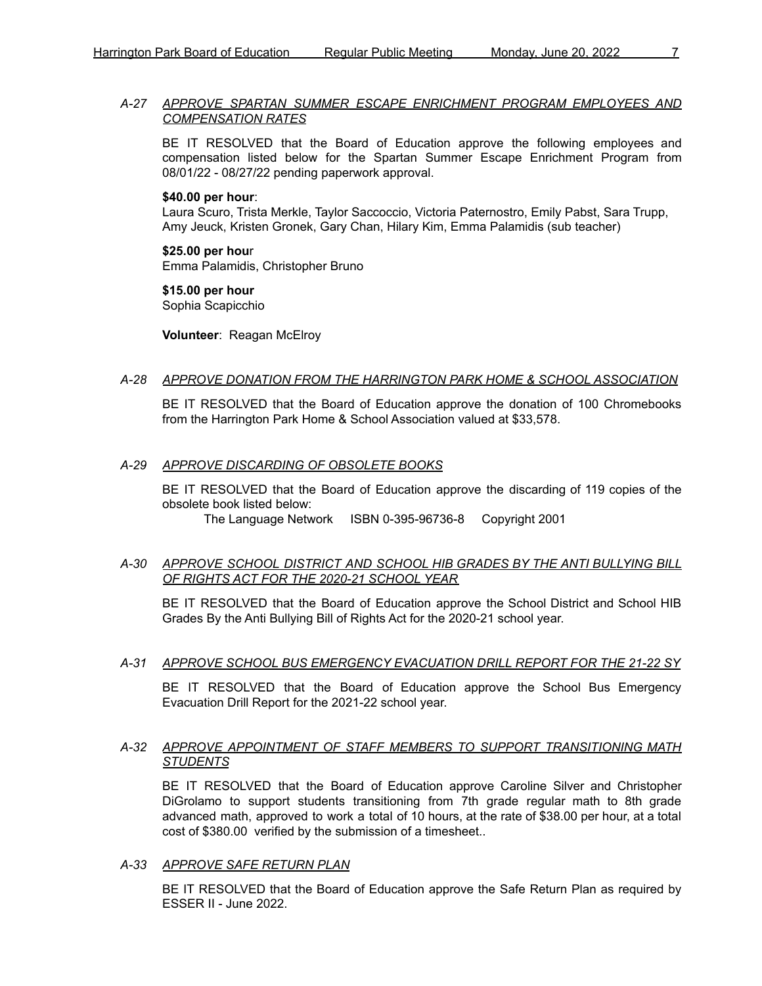#### *A-27 APPROVE SPARTAN SUMMER ESCAPE ENRICHMENT PROGRAM EMPLOYEES AND COMPENSATION RATES*

BE IT RESOLVED that the Board of Education approve the following employees and compensation listed below for the Spartan Summer Escape Enrichment Program from 08/01/22 - 08/27/22 pending paperwork approval.

#### **\$40.00 per hour**:

Laura Scuro, Trista Merkle, Taylor Saccoccio, Victoria Paternostro, Emily Pabst, Sara Trupp, Amy Jeuck, Kristen Gronek, Gary Chan, Hilary Kim, Emma Palamidis (sub teacher)

**\$25.00 per hou**r Emma Palamidis, Christopher Bruno

**\$15.00 per hour** Sophia Scapicchio

**Volunteer**: Reagan McElroy

#### *A-28 APPROVE DONATION FROM THE HARRINGTON PARK HOME & SCHOOL ASSOCIATION*

BE IT RESOLVED that the Board of Education approve the donation of 100 Chromebooks from the Harrington Park Home & School Association valued at \$33,578.

#### *A-29 APPROVE DISCARDING OF OBSOLETE BOOKS*

BE IT RESOLVED that the Board of Education approve the discarding of 119 copies of the obsolete book listed below:

The Language Network ISBN 0-395-96736-8 Copyright 2001

## *A-30 APPROVE SCHOOL DISTRICT AND SCHOOL HIB GRADES BY THE ANTI BULLYING BILL OF RIGHTS ACT FOR THE 2020-21 SCHOOL YEAR*

BE IT RESOLVED that the Board of Education approve the School District and School HIB Grades By the Anti Bullying Bill of Rights Act for the 2020-21 school year.

#### *A-31 APPROVE SCHOOL BUS EMERGENCY EVACUATION DRILL REPORT FOR THE 21-22 SY*

BE IT RESOLVED that the Board of Education approve the School Bus Emergency Evacuation Drill Report for the 2021-22 school year.

#### *A-32 APPROVE APPOINTMENT OF STAFF MEMBERS TO SUPPORT TRANSITIONING MATH STUDENTS*

BE IT RESOLVED that the Board of Education approve Caroline Silver and Christopher DiGrolamo to support students transitioning from 7th grade regular math to 8th grade advanced math, approved to work a total of 10 hours, at the rate of \$38.00 per hour, at a total cost of \$380.00 verified by the submission of a timesheet..

#### *A-33 APPROVE SAFE RETURN PLAN*

BE IT RESOLVED that the Board of Education approve the Safe Return Plan as required by ESSER II - June 2022.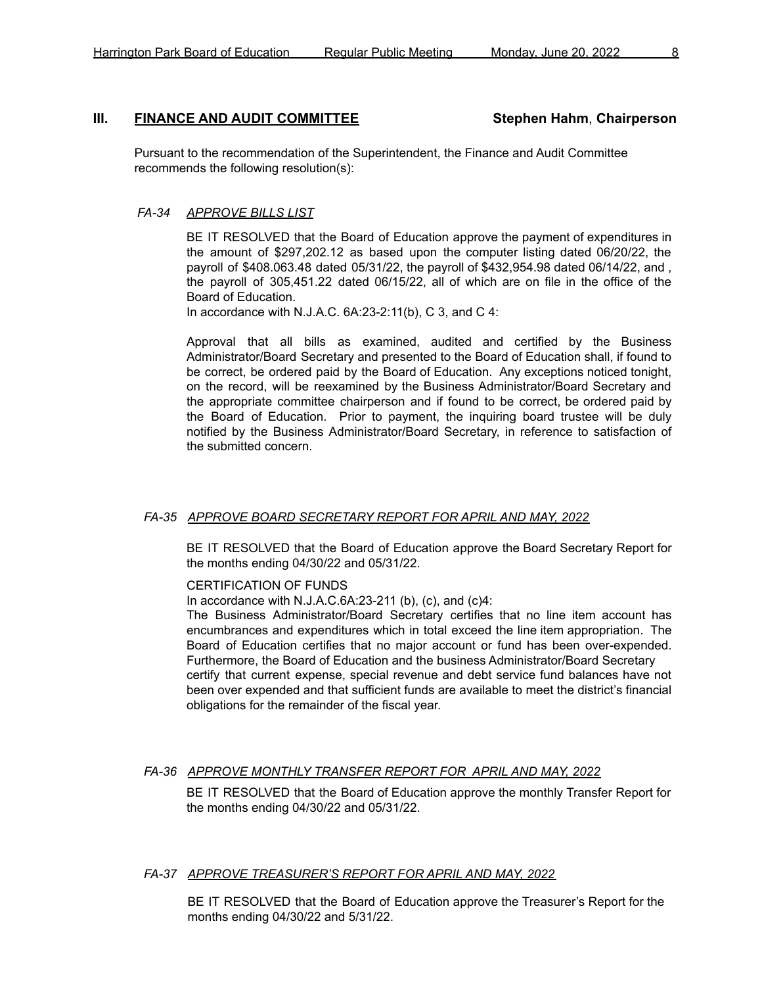## **III. FINANCE AND AUDIT COMMITTEE Stephen Hahm**, **Chairperson**

Pursuant to the recommendation of the Superintendent, the Finance and Audit Committee recommends the following resolution(s):

## *FA-34 APPROVE BILLS LIST*

BE IT RESOLVED that the Board of Education approve the payment of expenditures in the amount of \$297,202.12 as based upon the computer listing dated 06/20/22, the payroll of \$408.063.48 dated 05/31/22, the payroll of \$432,954.98 dated 06/14/22, and , the payroll of 305,451.22 dated 06/15/22, all of which are on file in the office of the Board of Education.

In accordance with N.J.A.C. 6A:23-2:11(b), C 3, and C 4:

Approval that all bills as examined, audited and certified by the Business Administrator/Board Secretary and presented to the Board of Education shall, if found to be correct, be ordered paid by the Board of Education. Any exceptions noticed tonight, on the record, will be reexamined by the Business Administrator/Board Secretary and the appropriate committee chairperson and if found to be correct, be ordered paid by the Board of Education. Prior to payment, the inquiring board trustee will be duly notified by the Business Administrator/Board Secretary, in reference to satisfaction of the submitted concern.

#### *FA-35 APPROVE BOARD SECRETARY REPORT FOR APRIL AND MAY, 2022*

BE IT RESOLVED that the Board of Education approve the Board Secretary Report for the months ending 04/30/22 and 05/31/22.

#### CERTIFICATION OF FUNDS

In accordance with N.J.A.C.6A:23-211 (b), (c), and (c)4:

The Business Administrator/Board Secretary certifies that no line item account has encumbrances and expenditures which in total exceed the line item appropriation. The Board of Education certifies that no major account or fund has been over-expended. Furthermore, the Board of Education and the business Administrator/Board Secretary certify that current expense, special revenue and debt service fund balances have not been over expended and that sufficient funds are available to meet the district's financial obligations for the remainder of the fiscal year.

## *FA-36 APPROVE MONTHLY TRANSFER REPORT FOR APRIL AND MAY, 2022*

BE IT RESOLVED that the Board of Education approve the monthly Transfer Report for the months ending 04/30/22 and 05/31/22.

#### *FA-37 APPROVE TREASURER'S REPORT FOR APRIL AND MAY, 2022*

BE IT RESOLVED that the Board of Education approve the Treasurer's Report for the months ending 04/30/22 and 5/31/22.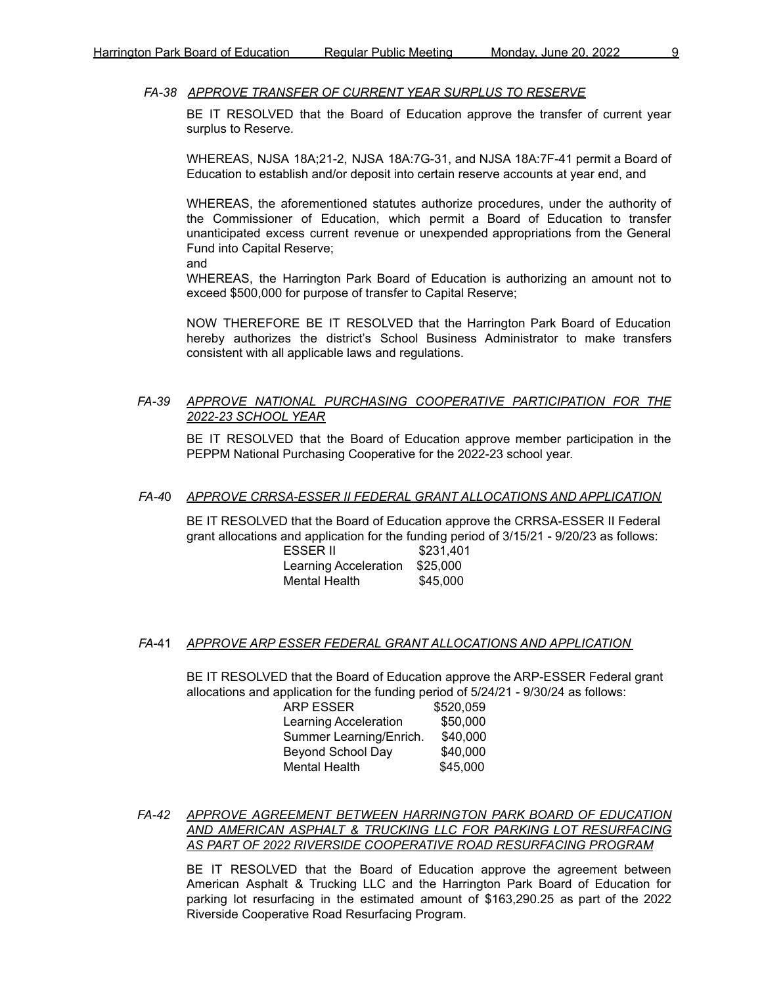BE IT RESOLVED that the Board of Education approve the transfer of current year surplus to Reserve.

WHEREAS, NJSA 18A;21-2, NJSA 18A:7G-31, and NJSA 18A:7F-41 permit a Board of Education to establish and/or deposit into certain reserve accounts at year end, and

WHEREAS, the aforementioned statutes authorize procedures, under the authority of the Commissioner of Education, which permit a Board of Education to transfer unanticipated excess current revenue or unexpended appropriations from the General Fund into Capital Reserve;

and

WHEREAS, the Harrington Park Board of Education is authorizing an amount not to exceed \$500,000 for purpose of transfer to Capital Reserve;

NOW THEREFORE BE IT RESOLVED that the Harrington Park Board of Education hereby authorizes the district's School Business Administrator to make transfers consistent with all applicable laws and regulations.

## *FA-39 APPROVE NATIONAL PURCHASING COOPERATIVE PARTICIPATION FOR THE 2022-23 SCHOOL YEAR*

BE IT RESOLVED that the Board of Education approve member participation in the PEPPM National Purchasing Cooperative for the 2022-23 school year.

#### *FA-4*0 *APPROVE CRRSA-ESSER II FEDERAL GRANT ALLOCATIONS AND APPLICATION*

BE IT RESOLVED that the Board of Education approve the CRRSA-ESSER II Federal grant allocations and application for the funding period of 3/15/21 - 9/20/23 as follows:

| <b>ESSER II</b>       | \$231,401 |
|-----------------------|-----------|
| Learning Acceleration | \$25,000  |
| Mental Health         | \$45,000  |

#### *FA*-41 *APPROVE ARP ESSER FEDERAL GRANT ALLOCATIONS AND APPLICATION*

BE IT RESOLVED that the Board of Education approve the ARP-ESSER Federal grant allocations and application for the funding period of 5/24/21 - 9/30/24 as follows:

| ARP ESSER                | \$520,059 |
|--------------------------|-----------|
| Learning Acceleration    | \$50,000  |
| Summer Learning/Enrich.  | \$40,000  |
| <b>Beyond School Day</b> | \$40,000  |
| Mental Health            | \$45,000  |

*FA-42 APPROVE AGREEMENT BETWEEN HARRINGTON PARK BOARD OF EDUCATION AND AMERICAN ASPHALT & TRUCKING LLC FOR PARKING LOT RESURFACING AS PART OF 2022 RIVERSIDE COOPERATIVE ROAD RESURFACING PROGRAM*

BE IT RESOLVED that the Board of Education approve the agreement between American Asphalt & Trucking LLC and the Harrington Park Board of Education for parking lot resurfacing in the estimated amount of \$163,290.25 as part of the 2022 Riverside Cooperative Road Resurfacing Program.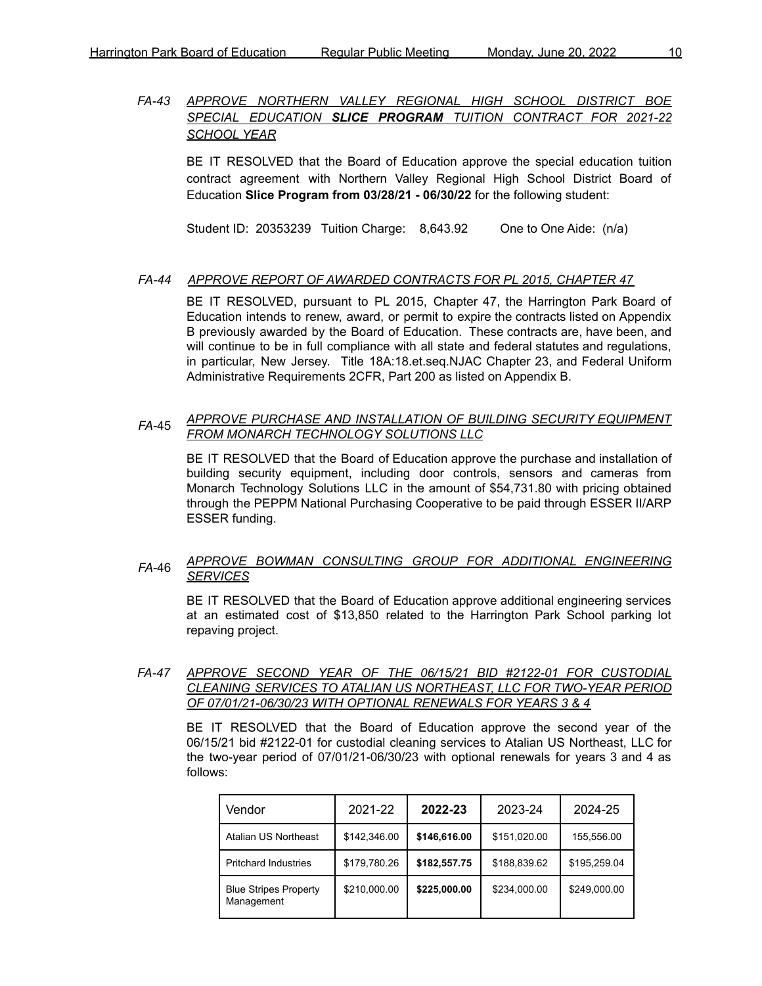## *FA-43 APPROVE NORTHERN VALLEY REGIONAL HIGH SCHOOL DISTRICT BOE SPECIAL EDUCATION SLICE PROGRAM TUITION CONTRACT FOR 2021-22 SCHOOL YEAR*

BE IT RESOLVED that the Board of Education approve the special education tuition contract agreement with Northern Valley Regional High School District Board of Education **Slice Program from 03/28/21 - 06/30/22** for the following student:

Student ID: 20353239 Tuition Charge: 8,643.92 One to One Aide: (n/a)

## *FA-44 APPROVE REPORT OF AWARDED CONTRACTS FOR PL 2015, CHAPTER 47*

BE IT RESOLVED, pursuant to PL 2015, Chapter 47, the Harrington Park Board of Education intends to renew, award, or permit to expire the contracts listed on Appendix B previously awarded by the Board of Education. These contracts are, have been, and will continue to be in full compliance with all state and federal statutes and regulations, in particular, New Jersey. Title 18A:18.et.seq.NJAC Chapter 23, and Federal Uniform Administrative Requirements 2CFR, Part 200 as listed on Appendix B.

#### *FA*-45 *APPROVE PURCHASE AND INSTALLATION OF BUILDING SECURITY EQUIPMENT FROM MONARCH TECHNOLOGY SOLUTIONS LLC*

BE IT RESOLVED that the Board of Education approve the purchase and installation of building security equipment, including door controls, sensors and cameras from Monarch Technology Solutions LLC in the amount of \$54,731.80 with pricing obtained through the PEPPM National Purchasing Cooperative to be paid through ESSER II/ARP ESSER funding.

#### *FA*-46 *APPROVE BOWMAN CONSULTING GROUP FOR ADDITIONAL ENGINEERING SERVICES*

BE IT RESOLVED that the Board of Education approve additional engineering services at an estimated cost of \$13,850 related to the Harrington Park School parking lot repaving project.

#### *FA-47 APPROVE SECOND YEAR OF THE 06/15/21 BID #2122-01 FOR CUSTODIAL CLEANING SERVICES TO ATALIAN US NORTHEAST, LLC FOR TWO-YEAR PERIOD OF 07/01/21-06/30/23 WITH OPTIONAL RENEWALS FOR YEARS 3 & 4*

BE IT RESOLVED that the Board of Education approve the second year of the 06/15/21 bid #2122-01 for custodial cleaning services to Atalian US Northeast, LLC for the two-year period of 07/01/21-06/30/23 with optional renewals for years 3 and 4 as follows:

| Vendor                                     | 2021-22      | 2022-23      | 2023-24      | 2024-25      |
|--------------------------------------------|--------------|--------------|--------------|--------------|
| Atalian US Northeast                       | \$142,346.00 | \$146,616.00 | \$151,020.00 | 155,556.00   |
| <b>Pritchard Industries</b>                | \$179,780.26 | \$182,557.75 | \$188,839.62 | \$195,259.04 |
| <b>Blue Stripes Property</b><br>Management | \$210,000.00 | \$225,000.00 | \$234,000.00 | \$249,000.00 |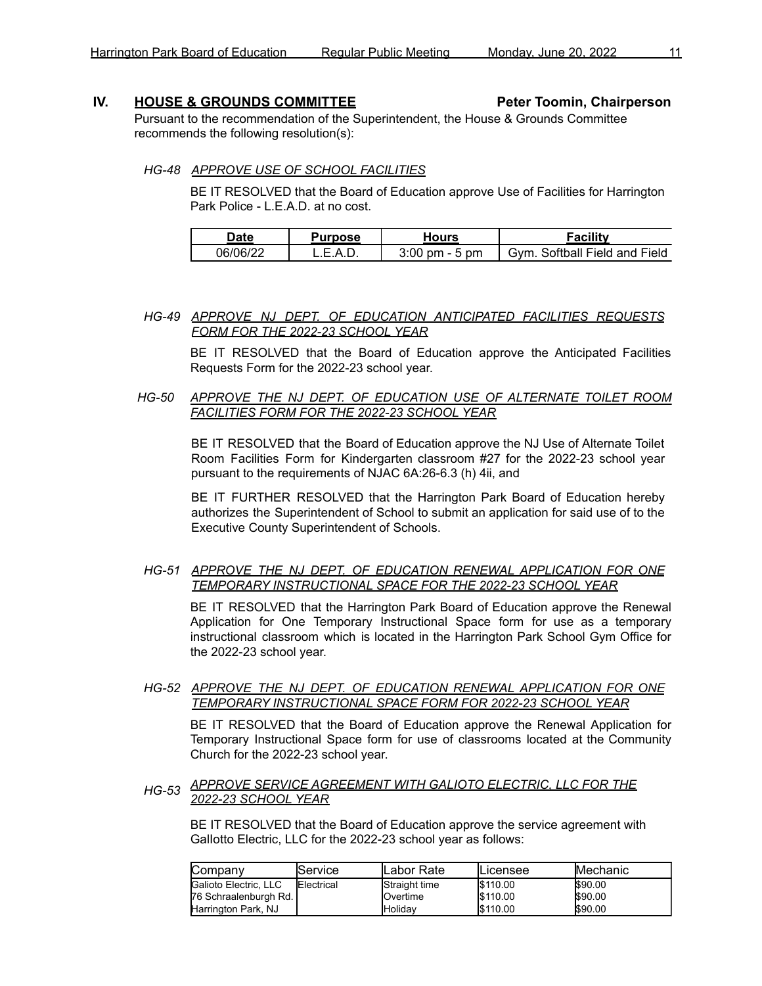### **IV. HOUSE & GROUNDS COMMITTEE Peter Toomin, Chairperson**

Pursuant to the recommendation of the Superintendent, the House & Grounds Committee recommends the following resolution(s):

#### *HG-48 APPROVE USE OF SCHOOL FACILITIES*

BE IT RESOLVED that the Board of Education approve Use of Facilities for Harrington Park Police - L.E.A.D. at no cost.

| Date     | Purpose | Hours                         | Facilitv                          |
|----------|---------|-------------------------------|-----------------------------------|
| 06/06/22 | -       | . - 5 pm<br>$3:00 \text{ pm}$ | Softball Field and Field<br>้⊰ิ∨m |

#### *HG-49 APPROVE NJ DEPT. OF EDUCATION ANTICIPATED FACILITIES REQUESTS FORM FOR THE 2022-23 SCHOOL YEAR*

BE IT RESOLVED that the Board of Education approve the Anticipated Facilities Requests Form for the 2022-23 school year.

## *HG-50 APPROVE THE NJ DEPT. OF EDUCATION USE OF ALTERNATE TOILET ROOM FACILITIES FORM FOR THE 2022-23 SCHOOL YEAR*

BE IT RESOLVED that the Board of Education approve the NJ Use of Alternate Toilet Room Facilities Form for Kindergarten classroom #27 for the 2022-23 school year pursuant to the requirements of NJAC 6A:26-6.3 (h) 4ii, and

BE IT FURTHER RESOLVED that the Harrington Park Board of Education hereby authorizes the Superintendent of School to submit an application for said use of to the Executive County Superintendent of Schools.

#### *HG-51 APPROVE THE NJ DEPT. OF EDUCATION RENEWAL APPLICATION FOR ONE TEMPORARY INSTRUCTIONAL SPACE FOR THE 2022-23 SCHOOL YEAR*

BE IT RESOLVED that the Harrington Park Board of Education approve the Renewal Application for One Temporary Instructional Space form for use as a temporary instructional classroom which is located in the Harrington Park School Gym Office for the 2022-23 school year.

## *HG-52 APPROVE THE NJ DEPT. OF EDUCATION RENEWAL APPLICATION FOR ONE TEMPORARY INSTRUCTIONAL SPACE FORM FOR 2022-23 SCHOOL YEAR*

BE IT RESOLVED that the Board of Education approve the Renewal Application for Temporary Instructional Space form for use of classrooms located at the Community Church for the 2022-23 school year.

#### *HG-53 APPROVE SERVICE AGREEMENT WITH GALIOTO ELECTRIC, LLC FOR THE 2022-23 SCHOOL YEAR*

BE IT RESOLVED that the Board of Education approve the service agreement with GalIotto Electric, LLC for the 2022-23 school year as follows:

| Company                 | lService.          | ILabor Rate       | ILicensee | <b>IMechanic</b> |
|-------------------------|--------------------|-------------------|-----------|------------------|
| Galioto Electric, LLC   | <b>IElectrical</b> | Straight time     | \$110.00  | \$90.00          |
| 76 Schraalenburgh Rd. I |                    | <b>I</b> Overtime | \$110.00  | \$90.00          |
| Harrington Park, NJ     |                    | <b>I</b> Holidav  | \$110.00  | \$90.00          |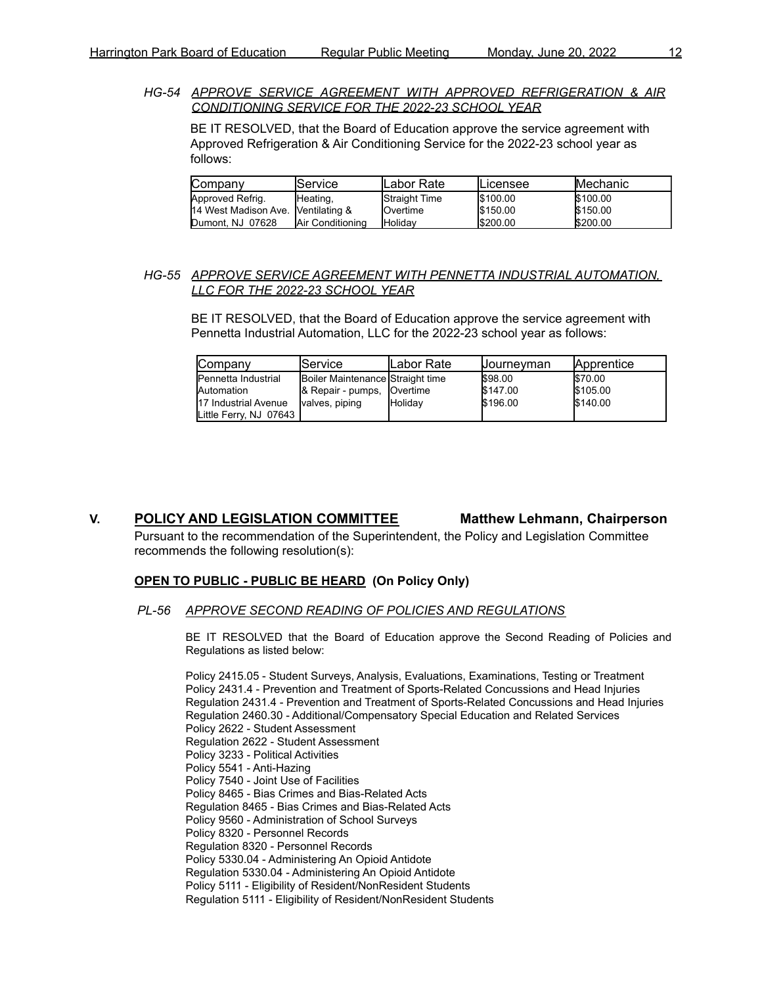*HG-54 APPROVE SERVICE AGREEMENT WITH APPROVED REFRIGERATION & AIR CONDITIONING SERVICE FOR THE 2022-23 SCHOOL YEAR*

BE IT RESOLVED, that the Board of Education approve the service agreement with Approved Refrigeration & Air Conditioning Service for the 2022-23 school year as follows:

| Company                            | lService.                | <b>ILabor Rate</b> | ILicensee | <b>Mechanic</b> |
|------------------------------------|--------------------------|--------------------|-----------|-----------------|
| Approved Refrig.                   | Heating,                 | Straight Time      | \$100.00  | \$100.00        |
| 14 West Madison Ave. Ventilating & |                          | <b>I</b> Overtime  | \$150.00  | \$150.00        |
| Dumont, NJ 07628                   | <b>IAir Conditioning</b> | <b>Holidav</b>     | \$200.00  | \$200.00        |

#### *HG-55 APPROVE SERVICE AGREEMENT WITH PENNETTA INDUSTRIAL AUTOMATION, LLC FOR THE 2022-23 SCHOOL YEAR*

BE IT RESOLVED, that the Board of Education approve the service agreement with Pennetta Industrial Automation, LLC for the 2022-23 school year as follows:

| <b>Company</b>         | <b>IService</b>                  | ILabor Rate    | <b>Journeyman</b> | <b>Apprentice</b> |
|------------------------|----------------------------------|----------------|-------------------|-------------------|
| Pennetta Industrial    | Boiler Maintenance Straight time |                | \$98.00           | \$70.00           |
| Automation             | & Repair - pumps, Overtime       |                | \$147.00          | \$105.00          |
| 17 Industrial Avenue   | valves, piping                   | <b>Holidav</b> | \$196.00          | \$140.00          |
| Little Ferry, NJ 07643 |                                  |                |                   |                   |

## **V. POLICY AND LEGISLATION COMMITTEE Matthew Lehmann, Chairperson**

Pursuant to the recommendation of the Superintendent, the Policy and Legislation Committee recommends the following resolution(s):

#### **OPEN TO PUBLIC - PUBLIC BE HEARD (On Policy Only)**

#### *PL-56 APPROVE SECOND READING OF POLICIES AND REGULATIONS*

BE IT RESOLVED that the Board of Education approve the Second Reading of Policies and Regulations as listed below:

Policy 2415.05 - Student Surveys, Analysis, Evaluations, Examinations, Testing or Treatment Policy 2431.4 - Prevention and Treatment of Sports-Related Concussions and Head Injuries Regulation 2431.4 - Prevention and Treatment of Sports-Related Concussions and Head Injuries Regulation 2460.30 - Additional/Compensatory Special Education and Related Services Policy 2622 - Student Assessment Regulation 2622 - Student Assessment Policy 3233 - Political Activities Policy 5541 - Anti-Hazing Policy 7540 - Joint Use of Facilities Policy 8465 - Bias Crimes and Bias-Related Acts Regulation 8465 - Bias Crimes and Bias-Related Acts Policy 9560 - Administration of School Surveys Policy 8320 - Personnel Records Regulation 8320 - Personnel Records Policy 5330.04 - Administering An Opioid Antidote Regulation 5330.04 - Administering An Opioid Antidote Policy 5111 - Eligibility of Resident/NonResident Students Regulation 5111 - Eligibility of Resident/NonResident Students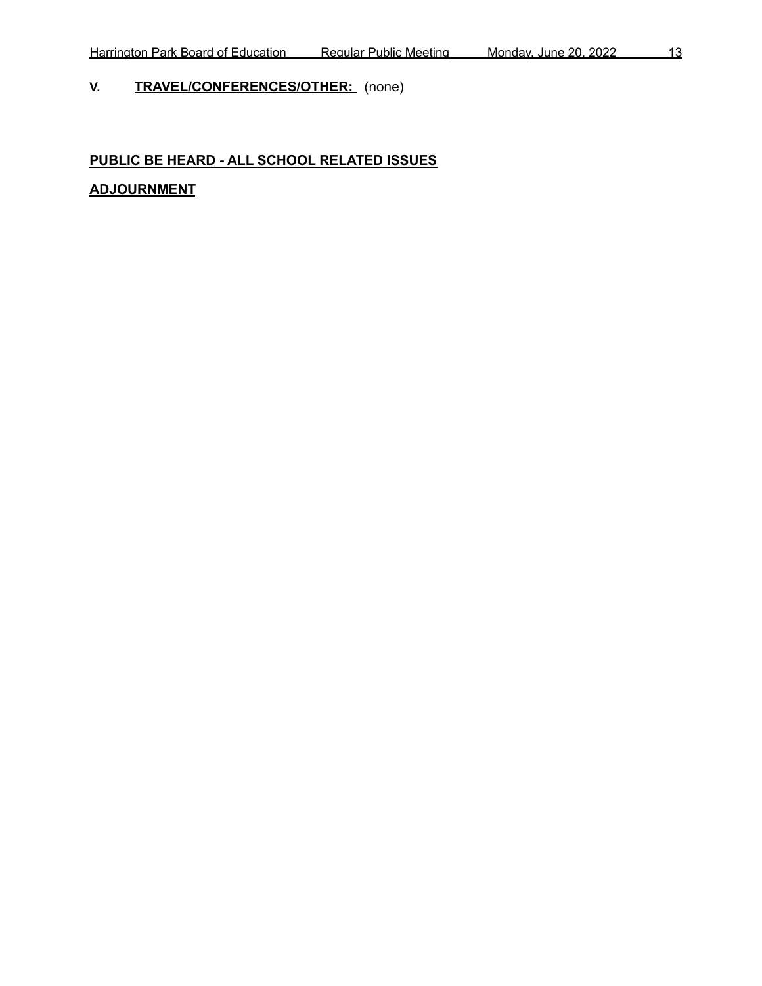# **V. TRAVEL/CONFERENCES/OTHER:** (none)

# **PUBLIC BE HEARD - ALL SCHOOL RELATED ISSUES**

# **ADJOURNMENT**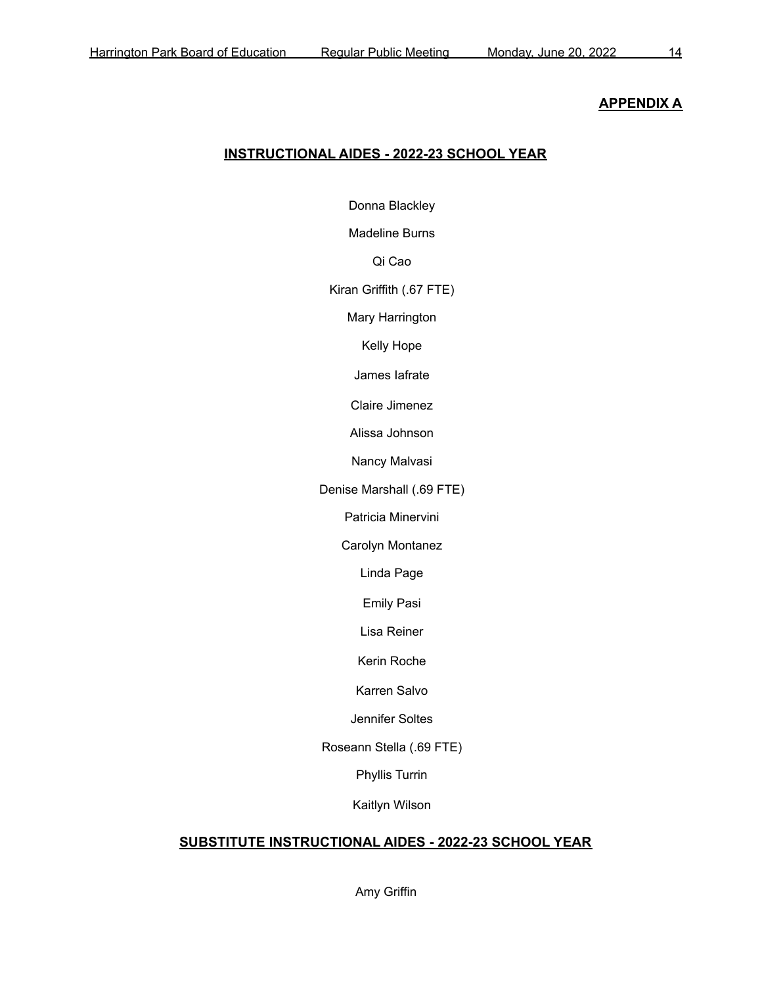## **APPENDIX A**

## **INSTRUCTIONAL AIDES - 2022-23 SCHOOL YEAR**

Donna Blackley

Madeline Burns

Qi Cao

Kiran Griffith (.67 FTE)

Mary Harrington

Kelly Hope

James Iafrate

Claire Jimenez

Alissa Johnson

Nancy Malvasi

Denise Marshall (.69 FTE)

Patricia Minervini

Carolyn Montanez

Linda Page

Emily Pasi

Lisa Reiner

Kerin Roche

Karren Salvo

Jennifer Soltes

Roseann Stella (.69 FTE)

Phyllis Turrin

Kaitlyn Wilson

## **SUBSTITUTE INSTRUCTIONAL AIDES - 2022-23 SCHOOL YEAR**

Amy Griffin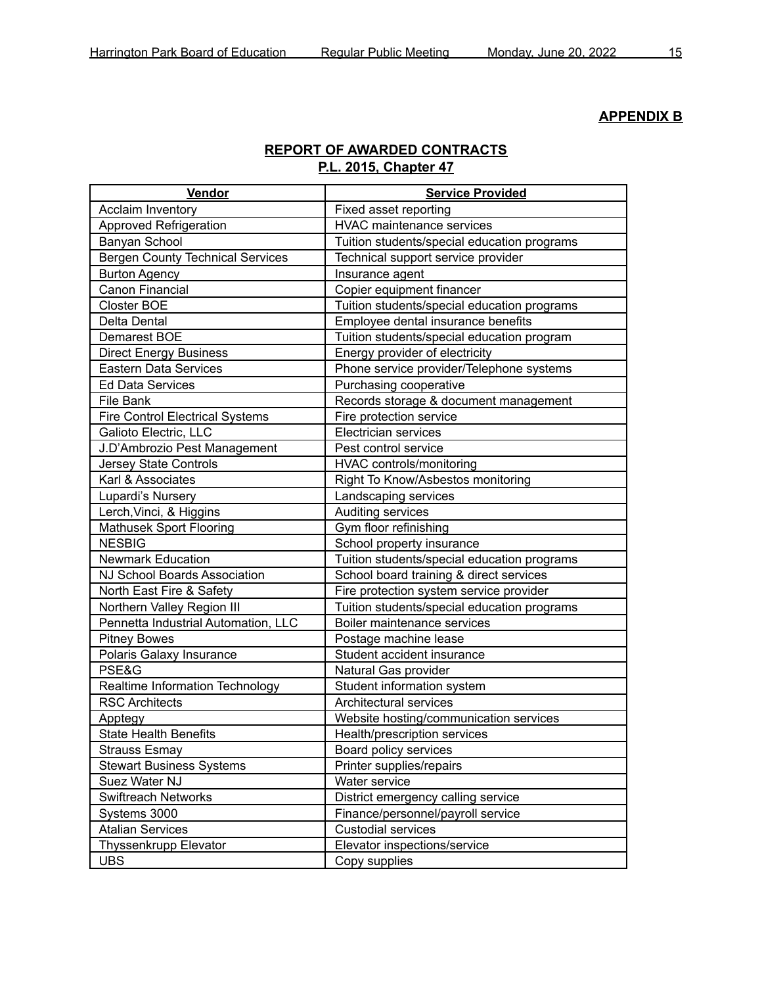# **APPENDIX B**

# **REPORT OF AWARDED CONTRACTS P.L. 2015, Chapter 47**

| Vendor                                  | <b>Service Provided</b>                     |
|-----------------------------------------|---------------------------------------------|
| <b>Acclaim Inventory</b>                | Fixed asset reporting                       |
| Approved Refrigeration                  | <b>HVAC maintenance services</b>            |
| Banyan School                           | Tuition students/special education programs |
| <b>Bergen County Technical Services</b> | Technical support service provider          |
| <b>Burton Agency</b>                    | Insurance agent                             |
| <b>Canon Financial</b>                  | Copier equipment financer                   |
| <b>Closter BOE</b>                      | Tuition students/special education programs |
| Delta Dental                            | Employee dental insurance benefits          |
| Demarest BOE                            | Tuition students/special education program  |
| <b>Direct Energy Business</b>           | Energy provider of electricity              |
| Eastern Data Services                   | Phone service provider/Telephone systems    |
| <b>Ed Data Services</b>                 | Purchasing cooperative                      |
| File Bank                               | Records storage & document management       |
| <b>Fire Control Electrical Systems</b>  | Fire protection service                     |
| Galioto Electric, LLC                   | Electrician services                        |
| J.D'Ambrozio Pest Management            | Pest control service                        |
| <b>Jersey State Controls</b>            | HVAC controls/monitoring                    |
| Karl & Associates                       | Right To Know/Asbestos monitoring           |
| Lupardi's Nursery                       | Landscaping services                        |
| Lerch, Vinci, & Higgins                 | Auditing services                           |
| <b>Mathusek Sport Flooring</b>          | Gym floor refinishing                       |
| <b>NESBIG</b>                           | School property insurance                   |
| <b>Newmark Education</b>                | Tuition students/special education programs |
| <b>NJ School Boards Association</b>     | School board training & direct services     |
| North East Fire & Safety                | Fire protection system service provider     |
| Northern Valley Region III              | Tuition students/special education programs |
| Pennetta Industrial Automation, LLC     | Boiler maintenance services                 |
| <b>Pitney Bowes</b>                     | Postage machine lease                       |
| Polaris Galaxy Insurance                | Student accident insurance                  |
| PSE&G                                   | Natural Gas provider                        |
| Realtime Information Technology         | Student information system                  |
| <b>RSC Architects</b>                   | Architectural services                      |
| Apptegy                                 | Website hosting/communication services      |
| <b>State Health Benefits</b>            | Health/prescription services                |
| <b>Strauss Esmay</b>                    | Board policy services                       |
| <b>Stewart Business Systems</b>         | Printer supplies/repairs                    |
| Suez Water NJ                           | Water service                               |
| <b>Swiftreach Networks</b>              | District emergency calling service          |
| Systems 3000                            | Finance/personnel/payroll service           |
| <b>Atalian Services</b>                 | <b>Custodial services</b>                   |
| Thyssenkrupp Elevator                   | Elevator inspections/service                |
| <b>UBS</b>                              | Copy supplies                               |